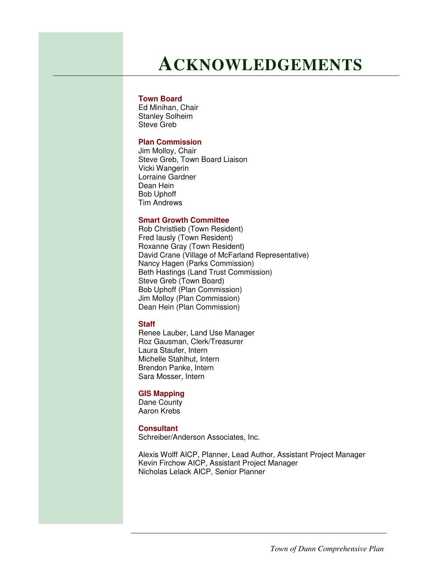## **ACKNOWLEDGEMENTS**

#### **Town Board**

Ed Minihan, Chair Stanley Solheim Steve Greb

### **Plan Commission**

Jim Molloy, Chair Steve Greb, Town Board Liaison Vicki Wangerin Lorraine Gardner Dean Hein Bob Uphoff Tim Andrews

#### **Smart Growth Committee**

Rob Christlieb (Town Resident) Fred Iausly (Town Resident) Roxanne Gray (Town Resident) David Crane (Village of McFarland Representative) Nancy Hagen (Parks Commission) Beth Hastings (Land Trust Commission) Steve Greb (Town Board) Bob Uphoff (Plan Commission) Jim Molloy (Plan Commission) Dean Hein (Plan Commission)

#### **Staff**

Renee Lauber, Land Use Manager Roz Gausman, Clerk/Treasurer Laura Staufer, Intern Michelle Stahlhut, Intern Brendon Panke, Intern Sara Mosser, Intern

#### **GIS Mapping**

Dane County Aaron Krebs

#### **Consultant**

Schreiber/Anderson Associates, Inc.

Alexis Wolff AICP, Planner, Lead Author, Assistant Project Manager Kevin Firchow AICP, Assistant Project Manager Nicholas Lelack AICP, Senior Planner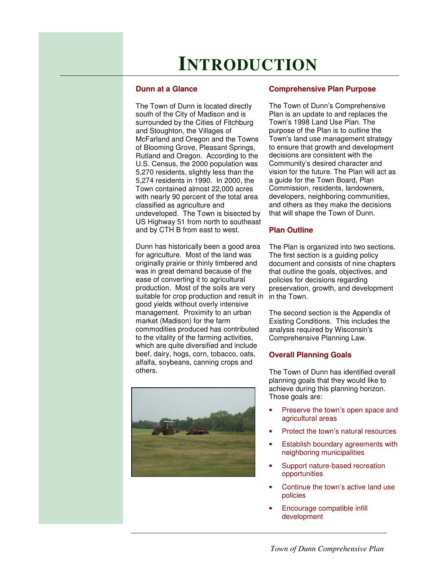# **INTRODUCTION**

#### **Dunn at a Glance**

The Town of Dunn is located directly south of the City of Madison and is surrounded by the Cities of Fitchburg and Stoughton, the Villages of McFarland and Oregon and the Towns of Blooming Grove, Pleasant Springs, Rutland and Oregon. According to the U.S. Census, the 2000 population was 5,270 residents, slightly less than the 5,274 residents in 1990. In 2000, the Town contained almost 22,000 acres with nearly 90 percent of the total area classified as agriculture and undeveloped. The Town is bisected by US Highway 51 from north to southeast and by CTH B from east to west.

Dunn has historically been a good area for agriculture. Most of the land was originally prairie or thinly timbered and was in great demand because of the ease of converting it to agricultural production. Most of the soils are very suitable for crop production and result in good yields without overly intensive management. Proximity to an urban market (Madison) for the farm commodities produced has contributed to the vitality of the farming activities, which are quite diversified and include beef, dairy, hogs, corn, tobacco, oats, alfalfa, soybeans, canning crops and others.



#### **Comprehensive Plan Purpose**

The Town of Dunn's Comprehensive Plan is an update to and replaces the Town's 1998 Land Use Plan. The purpose of the Plan is to outline the Town's land use management strategy to ensure that growth and development decisions are consistent with the Community's desired character and vision for the future. The Plan will act as a guide for the Town Board, Plan Commission, residents, landowners, developers, neighboring communities, and others as they make the decisions that will shape the Town of Dunn.

#### **Plan Outline**

The Plan is organized into two sections. The first section is a guiding policy document and consists of nine chapters that outline the goals, objectives, and policies for decisions regarding preservation, growth, and development in the Town.

The second section is the Appendix of Existing Conditions. This includes the analysis required by Wisconsin's Comprehensive Planning Law.

#### **Overall Planning Goals**

The Town of Dunn has identified overall planning goals that they would like to achieve during this planning horizon. Those goals are:

- Preserve the town's open space and agricultural areas
- Protect the town's natural resources
- **Establish boundary agreements with** neighboring municipalities
- Support nature-based recreation opportunities
- Continue the town's active land use policies
- Encourage compatible infill development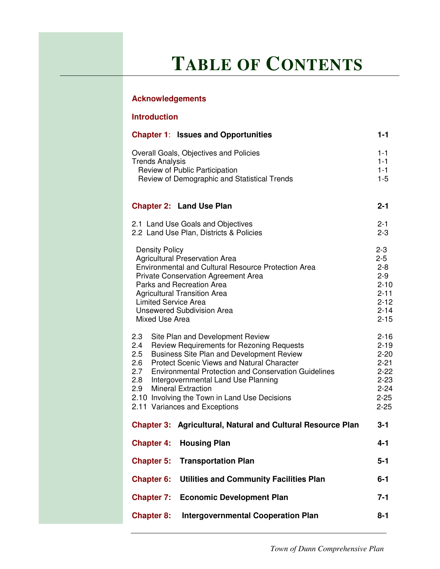# **TABLE OF CONTENTS**

### **Acknowledgements**

| <b>Introduction</b>                                                                                                                                                                                                                                                                                                                                                                                                                                          |                                                                                                      |  |
|--------------------------------------------------------------------------------------------------------------------------------------------------------------------------------------------------------------------------------------------------------------------------------------------------------------------------------------------------------------------------------------------------------------------------------------------------------------|------------------------------------------------------------------------------------------------------|--|
| <b>Chapter 1: Issues and Opportunities</b>                                                                                                                                                                                                                                                                                                                                                                                                                   | $1 - 1$                                                                                              |  |
| Overall Goals, Objectives and Policies<br><b>Trends Analysis</b><br>Review of Public Participation<br>Review of Demographic and Statistical Trends                                                                                                                                                                                                                                                                                                           | $1 - 1$<br>$1 - 1$<br>$1 - 1$<br>$1 - 5$                                                             |  |
| <b>Chapter 2: Land Use Plan</b>                                                                                                                                                                                                                                                                                                                                                                                                                              | $2 - 1$                                                                                              |  |
| 2.1 Land Use Goals and Objectives<br>2.2 Land Use Plan, Districts & Policies                                                                                                                                                                                                                                                                                                                                                                                 | $2 - 1$<br>$2 - 3$                                                                                   |  |
| <b>Density Policy</b><br><b>Agricultural Preservation Area</b><br>Environmental and Cultural Resource Protection Area<br><b>Private Conservation Agreement Area</b><br>Parks and Recreation Area<br><b>Agricultural Transition Area</b><br><b>Limited Service Area</b><br><b>Unsewered Subdivision Area</b><br>Mixed Use Area                                                                                                                                | $2 - 3$<br>$2 - 5$<br>$2 - 8$<br>$2 - 9$<br>$2 - 10$<br>$2 - 11$<br>$2 - 12$<br>$2 - 14$<br>$2 - 15$ |  |
| 2.3<br>Site Plan and Development Review<br>Review Requirements for Rezoning Requests<br>2.4<br><b>Business Site Plan and Development Review</b><br>2.5<br><b>Protect Scenic Views and Natural Character</b><br>2.6<br>2.7<br><b>Environmental Protection and Conservation Guidelines</b><br>2.8<br>Intergovernmental Land Use Planning<br><b>Mineral Extraction</b><br>2.9<br>2.10 Involving the Town in Land Use Decisions<br>2.11 Variances and Exceptions |                                                                                                      |  |
| Agricultural, Natural and Cultural Resource Plan<br><b>Chapter 3:</b>                                                                                                                                                                                                                                                                                                                                                                                        | $3 - 1$                                                                                              |  |
| <b>Housing Plan</b><br><b>Chapter 4:</b>                                                                                                                                                                                                                                                                                                                                                                                                                     | 4-1                                                                                                  |  |
| <b>Transportation Plan</b><br><b>Chapter 5:</b>                                                                                                                                                                                                                                                                                                                                                                                                              | $5 - 1$                                                                                              |  |
| <b>Chapter 6:</b><br><b>Utilities and Community Facilities Plan</b>                                                                                                                                                                                                                                                                                                                                                                                          | $6 - 1$                                                                                              |  |
| <b>Chapter 7: Economic Development Plan</b>                                                                                                                                                                                                                                                                                                                                                                                                                  | $7 - 1$                                                                                              |  |

**Chapter 8: Intergovernmental Cooperation Plan 8-1**